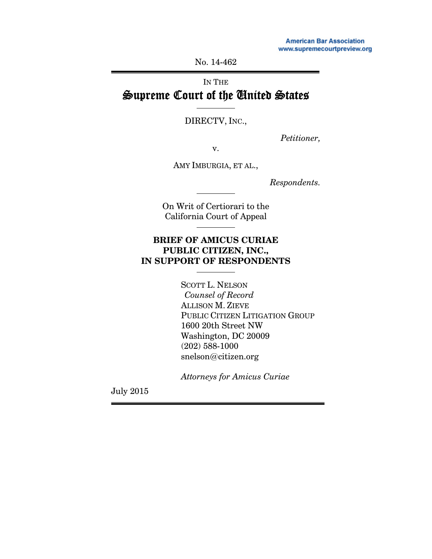No. 14-462

# IN THE Supreme Court of the United States

DIRECTV, INC.,

*Petitioner,* 

v.

AMY IMBURGIA, ET AL.,

*Respondents.* 

On Writ of Certiorari to the California Court of Appeal

## **BRIEF OF AMICUS CURIAE PUBLIC CITIZEN, INC., IN SUPPORT OF RESPONDENTS**

 SCOTT L. NELSON *Counsel of Record*  ALLISON M. ZIEVE PUBLIC CITIZEN LITIGATION GROUP 1600 20th Street NW Washington, DC 20009 (202) 588-1000 snelson@citizen.org

 *Attorneys for Amicus Curiae* 

July 2015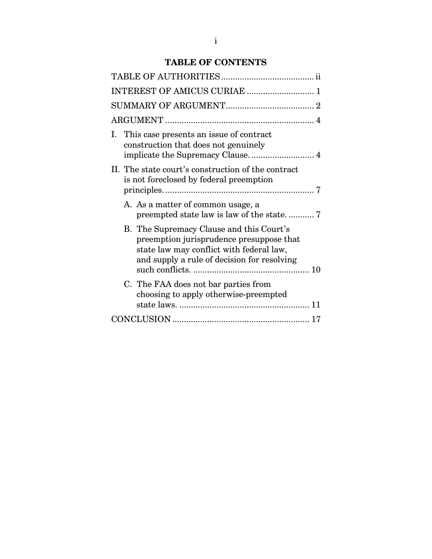## **TABLE OF CONTENTS**

|    |                                                                                 | INTEREST OF AMICUS CURIAE  1                                                                                                                                                    |  |
|----|---------------------------------------------------------------------------------|---------------------------------------------------------------------------------------------------------------------------------------------------------------------------------|--|
|    |                                                                                 |                                                                                                                                                                                 |  |
|    |                                                                                 |                                                                                                                                                                                 |  |
| Ι. | This case presents an issue of contract<br>construction that does not genuinely |                                                                                                                                                                                 |  |
|    |                                                                                 | II. The state court's construction of the contract<br>is not foreclosed by federal preemption                                                                                   |  |
|    |                                                                                 | A. As a matter of common usage, a                                                                                                                                               |  |
|    |                                                                                 | B. The Supremacy Clause and this Court's<br>preemption jurisprudence presuppose that<br>state law may conflict with federal law,<br>and supply a rule of decision for resolving |  |
|    |                                                                                 | C. The FAA does not bar parties from<br>choosing to apply otherwise-preempted<br>11                                                                                             |  |
|    |                                                                                 |                                                                                                                                                                                 |  |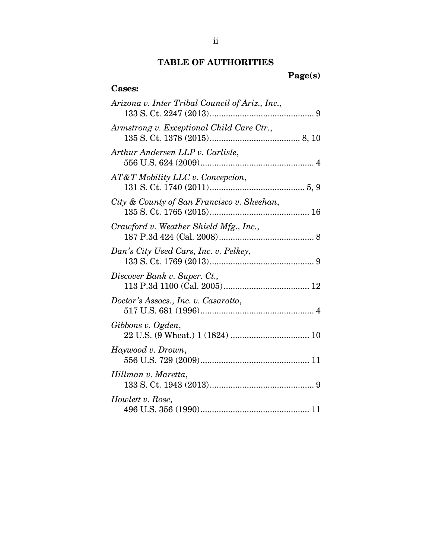## **TABLE OF AUTHORITIES**

**Page(s)** 

## **Cases:**

| Arizona v. Inter Tribal Council of Ariz., Inc., |
|-------------------------------------------------|
| Armstrong v. Exceptional Child Care Ctr.,       |
| Arthur Andersen LLP v. Carlisle,                |
| AT&T Mobility LLC v. Concepcion,                |
| City & County of San Francisco v. Sheehan,      |
| Crawford v. Weather Shield Mfg., Inc.,          |
| Dan's City Used Cars, Inc. v. Pelkey,           |
| Discover Bank v. Super. Ct.,                    |
| Doctor's Assocs., Inc. v. Casarotto,            |
| Gibbons v. Ogden,                               |
| Haywood v. Drown,                               |
| Hillman v. Maretta,                             |
| Howlett v. Rose,                                |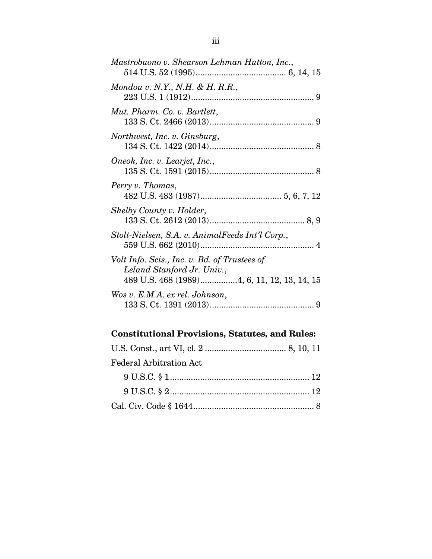| Mastrobuono v. Shearson Lehman Hutton, Inc.,                               |
|----------------------------------------------------------------------------|
| Mondou v. N.Y., N.H. & H. R.R.,                                            |
| Mut. Pharm. Co. v. Bartlett,                                               |
| Northwest, Inc. v. Ginsburg,                                               |
| Oneok, Inc. v. Learjet, Inc.,                                              |
| Perry v. Thomas,                                                           |
| Shelby County v. Holder,                                                   |
| Stolt-Nielsen, S.A. v. AnimalFeeds Int'l Corp.,                            |
| Volt Info. Scis., Inc. v. Bd. of Trustees of<br>Leland Stanford Jr. Univ., |
| Wos v. E.M.A. ex rel. Johnson,                                             |

# **Constitutional Provisions, Statutes, and Rules:**

| <b>Federal Arbitration Act</b> |  |
|--------------------------------|--|
|                                |  |
|                                |  |
|                                |  |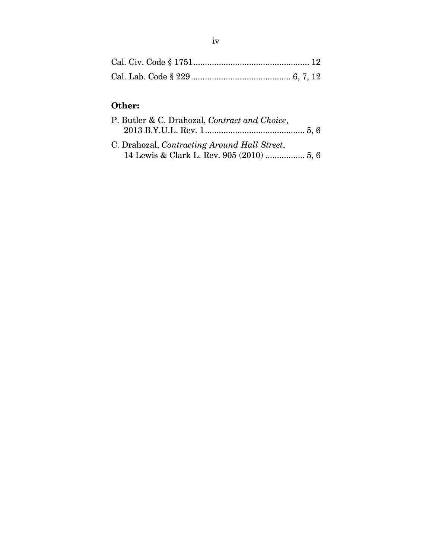# **Other:**

| P. Butler & C. Drahozal, Contract and Choice, |  |
|-----------------------------------------------|--|
|                                               |  |
| C. Drahozal, Contracting Around Hall Street,  |  |
| 14 Lewis & Clark L. Rev. 905 (2010)  5, 6     |  |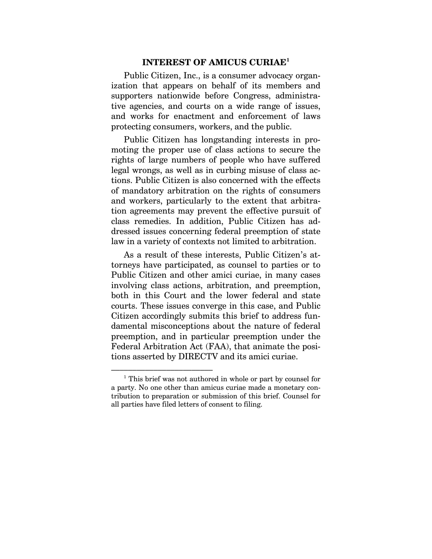#### **INTEREST OF AMICUS CURIAE1**

Public Citizen, Inc., is a consumer advocacy organization that appears on behalf of its members and supporters nationwide before Congress, administrative agencies, and courts on a wide range of issues, and works for enactment and enforcement of laws protecting consumers, workers, and the public.

Public Citizen has longstanding interests in promoting the proper use of class actions to secure the rights of large numbers of people who have suffered legal wrongs, as well as in curbing misuse of class actions. Public Citizen is also concerned with the effects of mandatory arbitration on the rights of consumers and workers, particularly to the extent that arbitration agreements may prevent the effective pursuit of class remedies. In addition, Public Citizen has addressed issues concerning federal preemption of state law in a variety of contexts not limited to arbitration.

As a result of these interests, Public Citizen's attorneys have participated, as counsel to parties or to Public Citizen and other amici curiae, in many cases involving class actions, arbitration, and preemption, both in this Court and the lower federal and state courts. These issues converge in this case, and Public Citizen accordingly submits this brief to address fundamental misconceptions about the nature of federal preemption, and in particular preemption under the Federal Arbitration Act (FAA), that animate the positions asserted by DIRECTV and its amici curiae.

<sup>–––––––––––––––––––––––– 1</sup> This brief was not authored in whole or part by counsel for a party. No one other than amicus curiae made a monetary contribution to preparation or submission of this brief. Counsel for all parties have filed letters of consent to filing.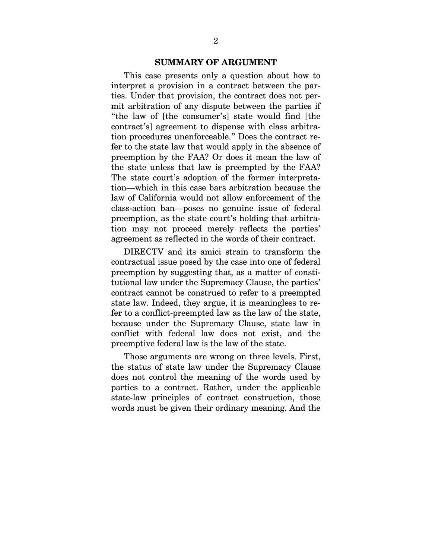#### **SUMMARY OF ARGUMENT**

This case presents only a question about how to interpret a provision in a contract between the parties. Under that provision, the contract does not permit arbitration of any dispute between the parties if "the law of [the consumer's] state would find [the contract's] agreement to dispense with class arbitration procedures unenforceable." Does the contract refer to the state law that would apply in the absence of preemption by the FAA? Or does it mean the law of the state unless that law is preempted by the FAA? The state court's adoption of the former interpretation—which in this case bars arbitration because the law of California would not allow enforcement of the class-action ban—poses no genuine issue of federal preemption, as the state court's holding that arbitration may not proceed merely reflects the parties' agreement as reflected in the words of their contract.

DIRECTV and its amici strain to transform the contractual issue posed by the case into one of federal preemption by suggesting that, as a matter of constitutional law under the Supremacy Clause, the parties' contract cannot be construed to refer to a preempted state law. Indeed, they argue, it is meaningless to refer to a conflict-preempted law as the law of the state, because under the Supremacy Clause, state law in conflict with federal law does not exist, and the preemptive federal law is the law of the state.

Those arguments are wrong on three levels. First, the status of state law under the Supremacy Clause does not control the meaning of the words used by parties to a contract. Rather, under the applicable state-law principles of contract construction, those words must be given their ordinary meaning. And the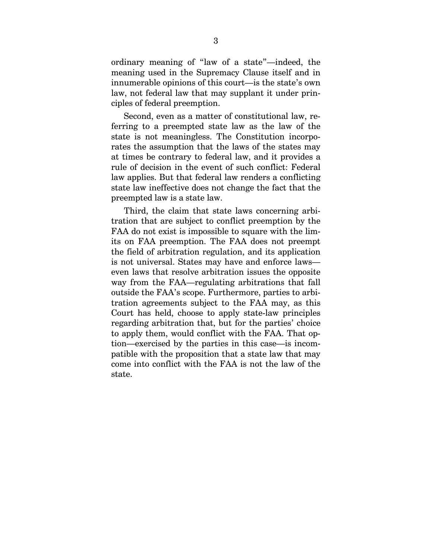ordinary meaning of "law of a state"—indeed, the meaning used in the Supremacy Clause itself and in innumerable opinions of this court—is the state's own law, not federal law that may supplant it under principles of federal preemption.

Second, even as a matter of constitutional law, referring to a preempted state law as the law of the state is not meaningless. The Constitution incorporates the assumption that the laws of the states may at times be contrary to federal law, and it provides a rule of decision in the event of such conflict: Federal law applies. But that federal law renders a conflicting state law ineffective does not change the fact that the preempted law is a state law.

Third, the claim that state laws concerning arbitration that are subject to conflict preemption by the FAA do not exist is impossible to square with the limits on FAA preemption. The FAA does not preempt the field of arbitration regulation, and its application is not universal. States may have and enforce laws even laws that resolve arbitration issues the opposite way from the FAA—regulating arbitrations that fall outside the FAA's scope. Furthermore, parties to arbitration agreements subject to the FAA may, as this Court has held, choose to apply state-law principles regarding arbitration that, but for the parties' choice to apply them, would conflict with the FAA. That option—exercised by the parties in this case—is incompatible with the proposition that a state law that may come into conflict with the FAA is not the law of the state.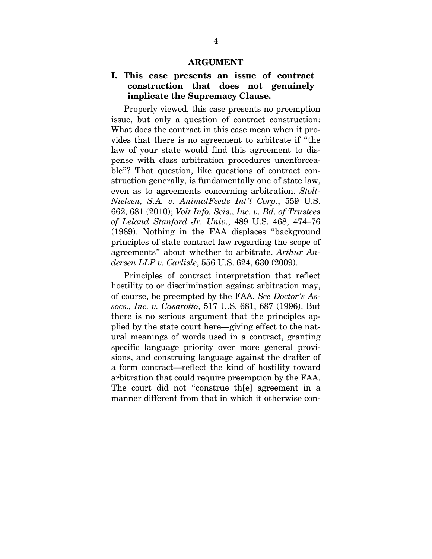#### **ARGUMENT**

## **I. This case presents an issue of contract construction that does not genuinely implicate the Supremacy Clause.**

Properly viewed, this case presents no preemption issue, but only a question of contract construction: What does the contract in this case mean when it provides that there is no agreement to arbitrate if "the law of your state would find this agreement to dispense with class arbitration procedures unenforceable"? That question, like questions of contract construction generally, is fundamentally one of state law, even as to agreements concerning arbitration. *Stolt-Nielsen, S.A. v. AnimalFeeds Int'l Corp.*, 559 U.S. 662, 681 (2010); *Volt Info. Scis., Inc. v. Bd. of Trustees of Leland Stanford Jr. Univ.*, 489 U.S. 468, 474–76 (1989). Nothing in the FAA displaces "background principles of state contract law regarding the scope of agreements" about whether to arbitrate. *Arthur Andersen LLP v. Carlisle*, 556 U.S. 624, 630 (2009).

Principles of contract interpretation that reflect hostility to or discrimination against arbitration may, of course, be preempted by the FAA. *See Doctor's Assocs., Inc. v. Casarotto*, 517 U.S. 681, 687 (1996). But there is no serious argument that the principles applied by the state court here—giving effect to the natural meanings of words used in a contract, granting specific language priority over more general provisions, and construing language against the drafter of a form contract—reflect the kind of hostility toward arbitration that could require preemption by the FAA. The court did not "construe th[e] agreement in a manner different from that in which it otherwise con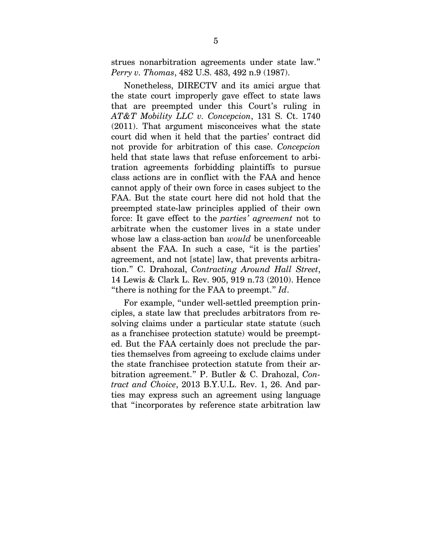strues nonarbitration agreements under state law." *Perry v. Thomas*, 482 U.S. 483, 492 n.9 (1987).

Nonetheless, DIRECTV and its amici argue that the state court improperly gave effect to state laws that are preempted under this Court's ruling in *AT&T Mobility LLC v. Concepcion*, 131 S. Ct. 1740 (2011). That argument misconceives what the state court did when it held that the parties' contract did not provide for arbitration of this case. *Concepcion* held that state laws that refuse enforcement to arbitration agreements forbidding plaintiffs to pursue class actions are in conflict with the FAA and hence cannot apply of their own force in cases subject to the FAA. But the state court here did not hold that the preempted state-law principles applied of their own force: It gave effect to the *parties' agreement* not to arbitrate when the customer lives in a state under whose law a class-action ban *would* be unenforceable absent the FAA. In such a case, "it is the parties' agreement, and not [state] law, that prevents arbitration." C. Drahozal, *Contracting Around Hall Street*, 14 Lewis & Clark L. Rev. 905, 919 n.73 (2010). Hence "there is nothing for the FAA to preempt." *Id*.

For example, "under well-settled preemption principles, a state law that precludes arbitrators from resolving claims under a particular state statute (such as a franchisee protection statute) would be preempted. But the FAA certainly does not preclude the parties themselves from agreeing to exclude claims under the state franchisee protection statute from their arbitration agreement." P. Butler & C. Drahozal, *Contract and Choice*, 2013 B.Y.U.L. Rev. 1, 26. And parties may express such an agreement using language that "incorporates by reference state arbitration law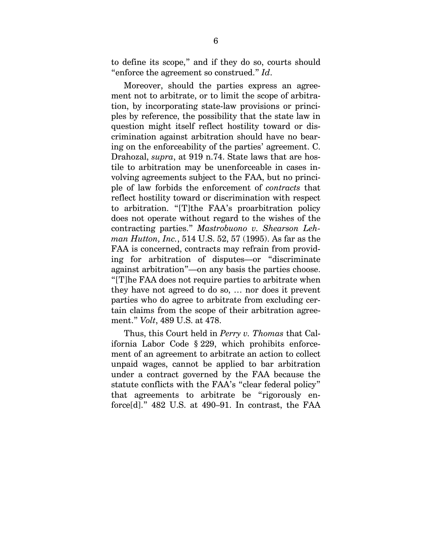to define its scope," and if they do so, courts should "enforce the agreement so construed." *Id*.

Moreover, should the parties express an agreement not to arbitrate, or to limit the scope of arbitration, by incorporating state-law provisions or principles by reference, the possibility that the state law in question might itself reflect hostility toward or discrimination against arbitration should have no bearing on the enforceability of the parties' agreement. C. Drahozal, *supra*, at 919 n.74. State laws that are hostile to arbitration may be unenforceable in cases involving agreements subject to the FAA, but no principle of law forbids the enforcement of *contracts* that reflect hostility toward or discrimination with respect to arbitration. "[T]the FAA's proarbitration policy does not operate without regard to the wishes of the contracting parties." *Mastrobuono v. Shearson Lehman Hutton, Inc.*, 514 U.S. 52, 57 (1995). As far as the FAA is concerned, contracts may refrain from providing for arbitration of disputes—or "discriminate against arbitration"—on any basis the parties choose. "[T]he FAA does not require parties to arbitrate when they have not agreed to do so, … nor does it prevent parties who do agree to arbitrate from excluding certain claims from the scope of their arbitration agreement." *Volt*, 489 U.S. at 478.

Thus, this Court held in *Perry v. Thomas* that California Labor Code § 229, which prohibits enforcement of an agreement to arbitrate an action to collect unpaid wages, cannot be applied to bar arbitration under a contract governed by the FAA because the statute conflicts with the FAA's "clear federal policy" that agreements to arbitrate be "rigorously enforce[d]." 482 U.S. at 490–91. In contrast, the FAA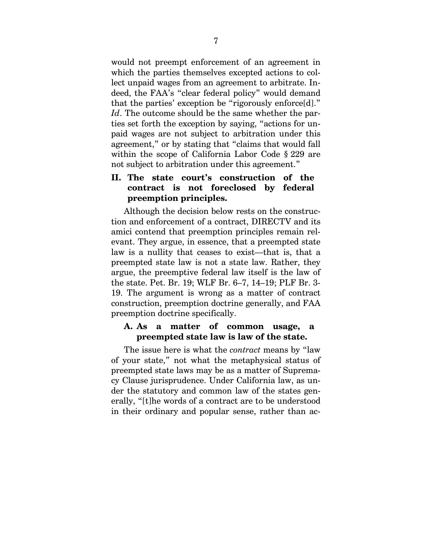would not preempt enforcement of an agreement in which the parties themselves excepted actions to collect unpaid wages from an agreement to arbitrate. Indeed, the FAA's "clear federal policy" would demand that the parties' exception be "rigorously enforce[d]." *Id*. The outcome should be the same whether the parties set forth the exception by saying, "actions for unpaid wages are not subject to arbitration under this agreement," or by stating that "claims that would fall within the scope of California Labor Code § 229 are not subject to arbitration under this agreement."

## **II. The state court's construction of the contract is not foreclosed by federal preemption principles.**

Although the decision below rests on the construction and enforcement of a contract, DIRECTV and its amici contend that preemption principles remain relevant. They argue, in essence, that a preempted state law is a nullity that ceases to exist—that is, that a preempted state law is not a state law. Rather, they argue, the preemptive federal law itself is the law of the state. Pet. Br. 19; WLF Br. 6–7, 14–19; PLF Br. 3- 19. The argument is wrong as a matter of contract construction, preemption doctrine generally, and FAA preemption doctrine specifically.

### **A. As a matter of common usage, a preempted state law is law of the state.**

The issue here is what the *contract* means by "law of your state," not what the metaphysical status of preempted state laws may be as a matter of Supremacy Clause jurisprudence. Under California law, as under the statutory and common law of the states generally, "[t]he words of a contract are to be understood in their ordinary and popular sense, rather than ac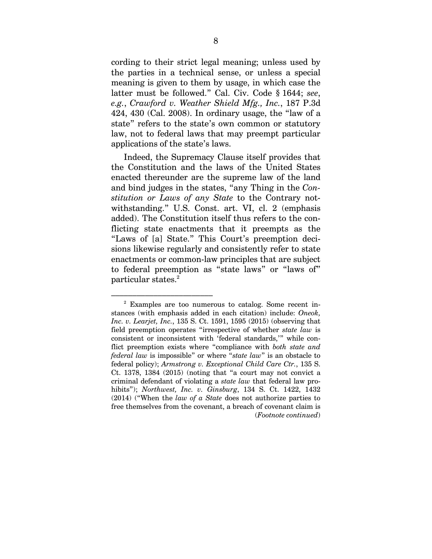cording to their strict legal meaning; unless used by the parties in a technical sense, or unless a special meaning is given to them by usage, in which case the latter must be followed." Cal. Civ. Code § 1644; *see*, *e.g.*, *Crawford v. Weather Shield Mfg., Inc.*, 187 P.3d 424, 430 (Cal. 2008). In ordinary usage, the "law of a state" refers to the state's own common or statutory law, not to federal laws that may preempt particular applications of the state's laws.

Indeed, the Supremacy Clause itself provides that the Constitution and the laws of the United States enacted thereunder are the supreme law of the land and bind judges in the states, "any Thing in the *Constitution or Laws of any State* to the Contrary notwithstanding." U.S. Const. art. VI, cl. 2 (emphasis added). The Constitution itself thus refers to the conflicting state enactments that it preempts as the "Laws of [a] State." This Court's preemption decisions likewise regularly and consistently refer to state enactments or common-law principles that are subject to federal preemption as "state laws" or "laws of"  $\rm{particular \, states.}^2$ 

<sup>–––––––––––––––––––––––– 2</sup> Examples are too numerous to catalog. Some recent instances (with emphasis added in each citation) include: *Oneok, Inc. v. Learjet, Inc.*, 135 S. Ct. 1591, 1595 (2015) (observing that field preemption operates "irrespective of whether *state law* is consistent or inconsistent with 'federal standards,'" while conflict preemption exists where "compliance with *both state and federal law* is impossible" or where "*state law*" is an obstacle to federal policy); *Armstrong v. Exceptional Child Care Ctr.*, 135 S. Ct. 1378, 1384 (2015) (noting that "a court may not convict a criminal defendant of violating a *state law* that federal law prohibits"); *Northwest, Inc. v. Ginsburg*, 134 S. Ct. 1422, 1432 (2014) ("When the *law of a State* does not authorize parties to free themselves from the covenant, a breach of covenant claim is (*Footnote continued*)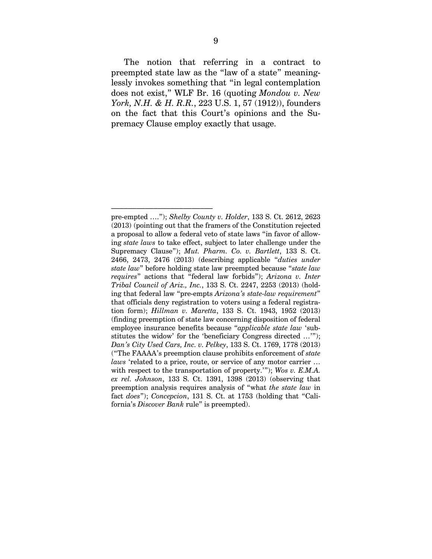The notion that referring in a contract to preempted state law as the "law of a state" meaninglessly invokes something that "in legal contemplation does not exist," WLF Br. 16 (quoting *Mondou v. New York, N.H. & H. R.R.*, 223 U.S. 1, 57 (1912)), founders on the fact that this Court's opinions and the Supremacy Clause employ exactly that usage.

––––––––––––––––––––––––

pre-empted …."); *Shelby County v. Holder*, 133 S. Ct. 2612, 2623 (2013) (pointing out that the framers of the Constitution rejected a proposal to allow a federal veto of state laws "in favor of allowing *state laws* to take effect, subject to later challenge under the Supremacy Clause"); *Mut. Pharm. Co. v. Bartlett*, 133 S. Ct. 2466, 2473, 2476 (2013) (describing applicable "*duties under state law*" before holding state law preempted because "*state law requires*" actions that "federal law forbids"); *Arizona v. Inter Tribal Council of Ariz., Inc.*, 133 S. Ct. 2247, 2253 (2013) (holding that federal law "pre-empts *Arizona's state-law requirement*" that officials deny registration to voters using a federal registration form); *Hillman v. Maretta*, 133 S. Ct. 1943, 1952 (2013) (finding preemption of state law concerning disposition of federal employee insurance benefits because "*applicable state law* 'substitutes the widow' for the 'beneficiary Congress directed …'"); *Dan's City Used Cars, Inc. v. Pelkey*, 133 S. Ct. 1769, 1778 (2013) ("The FAAAA's preemption clause prohibits enforcement of *state laws* 'related to a price, route, or service of any motor carrier … with respect to the transportation of property.'"); *Wos v. E.M.A. ex rel. Johnson*, 133 S. Ct. 1391, 1398 (2013) (observing that preemption analysis requires analysis of "what *the state law* in fact *does*"); *Concepcion*, 131 S. Ct. at 1753 (holding that "California's *Discover Bank* rule" is preempted).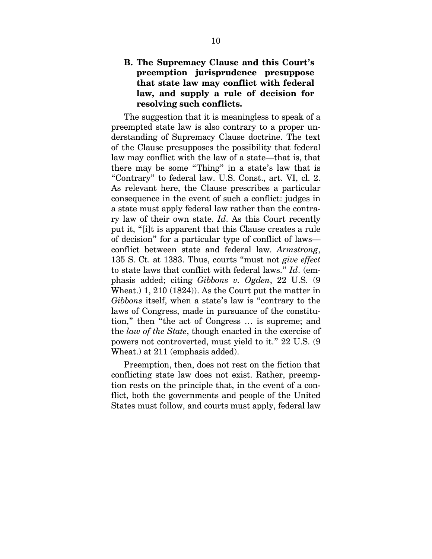## **B. The Supremacy Clause and this Court's preemption jurisprudence presuppose that state law may conflict with federal law, and supply a rule of decision for resolving such conflicts.**

The suggestion that it is meaningless to speak of a preempted state law is also contrary to a proper understanding of Supremacy Clause doctrine. The text of the Clause presupposes the possibility that federal law may conflict with the law of a state—that is, that there may be some "Thing" in a state's law that is "Contrary" to federal law. U.S. Const., art. VI, cl. 2. As relevant here, the Clause prescribes a particular consequence in the event of such a conflict: judges in a state must apply federal law rather than the contrary law of their own state. *Id*. As this Court recently put it, "[i]t is apparent that this Clause creates a rule of decision" for a particular type of conflict of laws conflict between state and federal law. *Armstrong*, 135 S. Ct. at 1383. Thus, courts "must not *give effect* to state laws that conflict with federal laws." *Id*. (emphasis added; citing *Gibbons v. Ogden*, 22 U.S. (9 Wheat.) 1, 210 (1824)). As the Court put the matter in *Gibbons* itself, when a state's law is "contrary to the laws of Congress, made in pursuance of the constitution," then "the act of Congress … is supreme; and the *law of the State*, though enacted in the exercise of powers not controverted, must yield to it." 22 U.S. (9 Wheat.) at 211 (emphasis added).

Preemption, then, does not rest on the fiction that conflicting state law does not exist. Rather, preemption rests on the principle that, in the event of a conflict, both the governments and people of the United States must follow, and courts must apply, federal law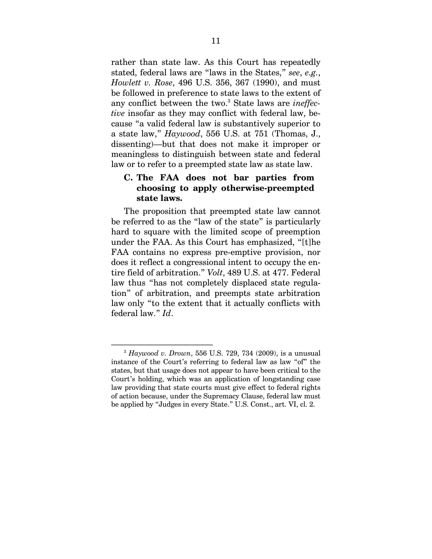rather than state law. As this Court has repeatedly stated, federal laws are "laws in the States," *see*, *e.g.*, *Howlett v. Rose*, 496 U.S. 356, 367 (1990), and must be followed in preference to state laws to the extent of any conflict between the two.<sup>3</sup> State laws are *ineffective* insofar as they may conflict with federal law, because "a valid federal law is substantively superior to a state law," *Haywood*, 556 U.S. at 751 (Thomas, J., dissenting)—but that does not make it improper or meaningless to distinguish between state and federal law or to refer to a preempted state law as state law.

## **C. The FAA does not bar parties from choosing to apply otherwise-preempted state laws.**

The proposition that preempted state law cannot be referred to as the "law of the state" is particularly hard to square with the limited scope of preemption under the FAA. As this Court has emphasized, "[t]he FAA contains no express pre-emptive provision, nor does it reflect a congressional intent to occupy the entire field of arbitration." *Volt*, 489 U.S. at 477. Federal law thus "has not completely displaced state regulation" of arbitration, and preempts state arbitration law only "to the extent that it actually conflicts with federal law." *Id*.

 $^{3}$  *Haywood v. Drown*, 556 U.S. 729, 734 (2009), is a unusual instance of the Court's referring to federal law as law "of" the states, but that usage does not appear to have been critical to the Court's holding, which was an application of longstanding case law providing that state courts must give effect to federal rights of action because, under the Supremacy Clause, federal law must be applied by "Judges in every State." U.S. Const., art. VI, cl. 2.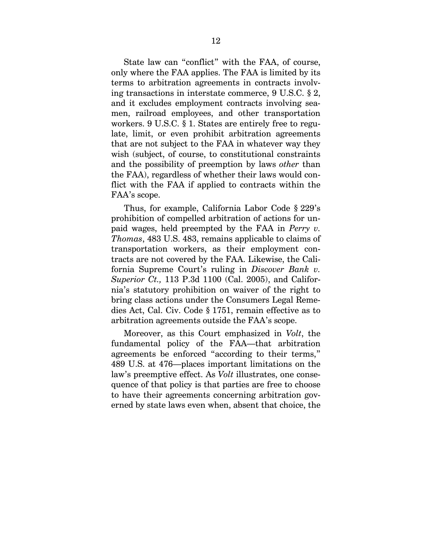State law can "conflict" with the FAA, of course, only where the FAA applies. The FAA is limited by its terms to arbitration agreements in contracts involving transactions in interstate commerce, 9 U.S.C. § 2, and it excludes employment contracts involving seamen, railroad employees, and other transportation workers. 9 U.S.C. § 1. States are entirely free to regulate, limit, or even prohibit arbitration agreements that are not subject to the FAA in whatever way they wish (subject, of course, to constitutional constraints and the possibility of preemption by laws *other* than the FAA), regardless of whether their laws would conflict with the FAA if applied to contracts within the FAA's scope.

Thus, for example, California Labor Code § 229's prohibition of compelled arbitration of actions for unpaid wages, held preempted by the FAA in *Perry v. Thomas*, 483 U.S. 483, remains applicable to claims of transportation workers, as their employment contracts are not covered by the FAA. Likewise, the California Supreme Court's ruling in *Discover Bank v. Superior Ct.,* 113 P.3d 1100 (Cal. 2005), and California's statutory prohibition on waiver of the right to bring class actions under the Consumers Legal Remedies Act, Cal. Civ. Code § 1751, remain effective as to arbitration agreements outside the FAA's scope.

Moreover, as this Court emphasized in *Volt*, the fundamental policy of the FAA—that arbitration agreements be enforced "according to their terms," 489 U.S. at 476—places important limitations on the law's preemptive effect. As *Volt* illustrates, one consequence of that policy is that parties are free to choose to have their agreements concerning arbitration governed by state laws even when, absent that choice, the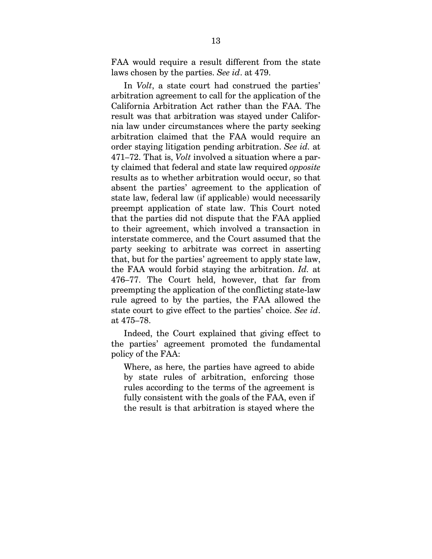FAA would require a result different from the state laws chosen by the parties. *See id*. at 479.

In *Volt*, a state court had construed the parties' arbitration agreement to call for the application of the California Arbitration Act rather than the FAA. The result was that arbitration was stayed under California law under circumstances where the party seeking arbitration claimed that the FAA would require an order staying litigation pending arbitration. *See id.* at 471–72. That is, *Volt* involved a situation where a party claimed that federal and state law required *opposite* results as to whether arbitration would occur, so that absent the parties' agreement to the application of state law, federal law (if applicable) would necessarily preempt application of state law. This Court noted that the parties did not dispute that the FAA applied to their agreement, which involved a transaction in interstate commerce, and the Court assumed that the party seeking to arbitrate was correct in asserting that, but for the parties' agreement to apply state law, the FAA would forbid staying the arbitration. *Id.* at 476–77. The Court held, however, that far from preempting the application of the conflicting state-law rule agreed to by the parties, the FAA allowed the state court to give effect to the parties' choice. *See id*. at 475–78.

Indeed, the Court explained that giving effect to the parties' agreement promoted the fundamental policy of the FAA:

Where, as here, the parties have agreed to abide by state rules of arbitration, enforcing those rules according to the terms of the agreement is fully consistent with the goals of the FAA, even if the result is that arbitration is stayed where the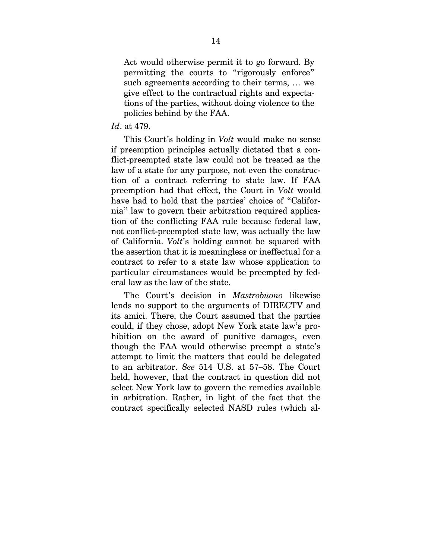Act would otherwise permit it to go forward. By permitting the courts to "rigorously enforce" such agreements according to their terms, … we give effect to the contractual rights and expectations of the parties, without doing violence to the policies behind by the FAA.

#### *Id*. at 479.

This Court's holding in *Volt* would make no sense if preemption principles actually dictated that a conflict-preempted state law could not be treated as the law of a state for any purpose, not even the construction of a contract referring to state law. If FAA preemption had that effect, the Court in *Volt* would have had to hold that the parties' choice of "California" law to govern their arbitration required application of the conflicting FAA rule because federal law, not conflict-preempted state law, was actually the law of California. *Volt*'s holding cannot be squared with the assertion that it is meaningless or ineffectual for a contract to refer to a state law whose application to particular circumstances would be preempted by federal law as the law of the state.

The Court's decision in *Mastrobuono* likewise lends no support to the arguments of DIRECTV and its amici. There, the Court assumed that the parties could, if they chose, adopt New York state law's prohibition on the award of punitive damages, even though the FAA would otherwise preempt a state's attempt to limit the matters that could be delegated to an arbitrator. *See* 514 U.S. at 57–58. The Court held, however, that the contract in question did not select New York law to govern the remedies available in arbitration. Rather, in light of the fact that the contract specifically selected NASD rules (which al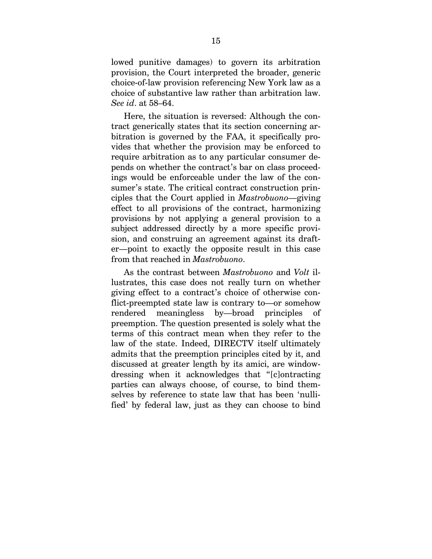lowed punitive damages) to govern its arbitration provision, the Court interpreted the broader, generic choice-of-law provision referencing New York law as a choice of substantive law rather than arbitration law. *See id*. at 58–64.

Here, the situation is reversed: Although the contract generically states that its section concerning arbitration is governed by the FAA, it specifically provides that whether the provision may be enforced to require arbitration as to any particular consumer depends on whether the contract's bar on class proceedings would be enforceable under the law of the consumer's state. The critical contract construction principles that the Court applied in *Mastrobuono*—giving effect to all provisions of the contract, harmonizing provisions by not applying a general provision to a subject addressed directly by a more specific provision, and construing an agreement against its drafter—point to exactly the opposite result in this case from that reached in *Mastrobuono*.

As the contrast between *Mastrobuono* and *Volt* illustrates, this case does not really turn on whether giving effect to a contract's choice of otherwise conflict-preempted state law is contrary to—or somehow rendered meaningless by—broad principles of preemption. The question presented is solely what the terms of this contract mean when they refer to the law of the state. Indeed, DIRECTV itself ultimately admits that the preemption principles cited by it, and discussed at greater length by its amici, are windowdressing when it acknowledges that "[c]ontracting parties can always choose, of course, to bind themselves by reference to state law that has been 'nullified' by federal law, just as they can choose to bind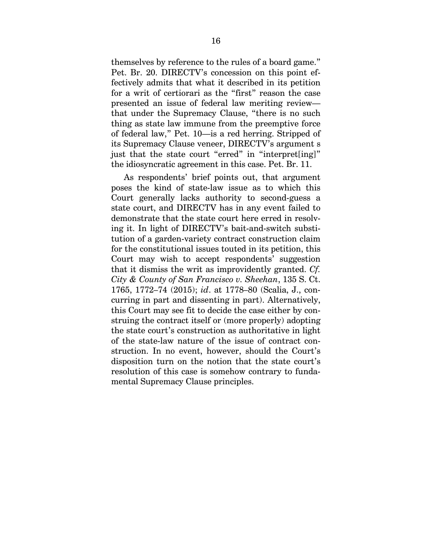themselves by reference to the rules of a board game." Pet. Br. 20. DIRECTV's concession on this point effectively admits that what it described in its petition for a writ of certiorari as the "first" reason the case presented an issue of federal law meriting review that under the Supremacy Clause, "there is no such thing as state law immune from the preemptive force of federal law," Pet. 10—is a red herring. Stripped of its Supremacy Clause veneer, DIRECTV's argument s just that the state court "erred" in "interpret[ing]" the idiosyncratic agreement in this case. Pet. Br. 11.

As respondents' brief points out, that argument poses the kind of state-law issue as to which this Court generally lacks authority to second-guess a state court, and DIRECTV has in any event failed to demonstrate that the state court here erred in resolving it. In light of DIRECTV's bait-and-switch substitution of a garden-variety contract construction claim for the constitutional issues touted in its petition, this Court may wish to accept respondents' suggestion that it dismiss the writ as improvidently granted. *Cf. City & County of San Francisco v. Sheehan*, 135 S. Ct. 1765, 1772–74 (2015); *id*. at 1778–80 (Scalia, J., concurring in part and dissenting in part). Alternatively, this Court may see fit to decide the case either by construing the contract itself or (more properly) adopting the state court's construction as authoritative in light of the state-law nature of the issue of contract construction. In no event, however, should the Court's disposition turn on the notion that the state court's resolution of this case is somehow contrary to fundamental Supremacy Clause principles.